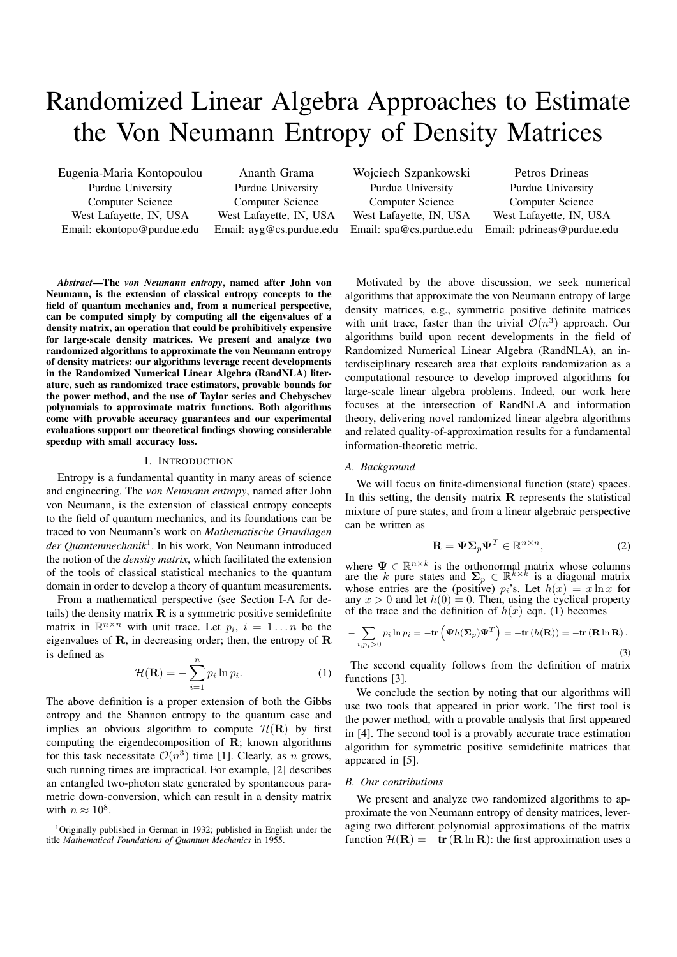# Randomized Linear Algebra Approaches to Estimate the Von Neumann Entropy of Density Matrices

Eugenia-Maria Kontopoulou Purdue University Computer Science West Lafayette, IN, USA Email: ekontopo@purdue.edu

Ananth Grama Purdue University Computer Science West Lafayette, IN, USA Email: ayg@cs.purdue.edu

Wojciech Szpankowski Purdue University Computer Science West Lafayette, IN, USA Email: spa@cs.purdue.edu

Petros Drineas Purdue University Computer Science West Lafayette, IN, USA Email: pdrineas@purdue.edu

*Abstract*—The *von Neumann entropy*, named after John von Neumann, is the extension of classical entropy concepts to the field of quantum mechanics and, from a numerical perspective, can be computed simply by computing all the eigenvalues of a density matrix, an operation that could be prohibitively expensive for large-scale density matrices. We present and analyze two randomized algorithms to approximate the von Neumann entropy of density matrices: our algorithms leverage recent developments in the Randomized Numerical Linear Algebra (RandNLA) literature, such as randomized trace estimators, provable bounds for the power method, and the use of Taylor series and Chebyschev polynomials to approximate matrix functions. Both algorithms come with provable accuracy guarantees and our experimental evaluations support our theoretical findings showing considerable speedup with small accuracy loss.

# I. INTRODUCTION

Entropy is a fundamental quantity in many areas of science and engineering. The *von Neumann entropy*, named after John von Neumann, is the extension of classical entropy concepts to the field of quantum mechanics, and its foundations can be traced to von Neumann's work on *Mathematische Grundlagen der Quantenmechanik*<sup>1</sup> . In his work, Von Neumann introduced the notion of the *density matrix*, which facilitated the extension of the tools of classical statistical mechanics to the quantum domain in order to develop a theory of quantum measurements.

From a mathematical perspective (see Section I-A for details) the density matrix  **is a symmetric positive semidefinite** matrix in  $\mathbb{R}^{n \times n}$  with unit trace. Let  $p_i$ ,  $i = 1...n$  be the eigenvalues of **, in decreasing order; then, the entropy of**  $**R**$ is defined as

$$
\mathcal{H}(\mathbf{R}) = -\sum_{i=1}^{n} p_i \ln p_i.
$$
 (1)

The above definition is a proper extension of both the Gibbs entropy and the Shannon entropy to the quantum case and implies an obvious algorithm to compute  $\mathcal{H}(\mathbf{R})$  by first computing the eigendecomposition of  $\bf R$ ; known algorithms for this task necessitate  $\mathcal{O}(n^3)$  time [1]. Clearly, as n grows, such running times are impractical. For example, [2] describes an entangled two-photon state generated by spontaneous parametric down-conversion, which can result in a density matrix with  $n \approx 10^8$ .

<sup>1</sup>Originally published in German in 1932; published in English under the title *Mathematical Foundations of Quantum Mechanics* in 1955.

Motivated by the above discussion, we seek numerical algorithms that approximate the von Neumann entropy of large density matrices, e.g., symmetric positive definite matrices with unit trace, faster than the trivial  $\mathcal{O}(n^3)$  approach. Our algorithms build upon recent developments in the field of Randomized Numerical Linear Algebra (RandNLA), an interdisciplinary research area that exploits randomization as a computational resource to develop improved algorithms for large-scale linear algebra problems. Indeed, our work here focuses at the intersection of RandNLA and information theory, delivering novel randomized linear algebra algorithms and related quality-of-approximation results for a fundamental information-theoretic metric.

# *A. Background*

We will focus on finite-dimensional function (state) spaces. In this setting, the density matrix  $\bf{R}$  represents the statistical mixture of pure states, and from a linear algebraic perspective can be written as

$$
\mathbf{R} = \mathbf{\Psi} \mathbf{\Sigma}_p \mathbf{\Psi}^T \in \mathbb{R}^{n \times n},\tag{2}
$$

where  $\Psi \in \mathbb{R}^{n \times k}$  is the orthonormal matrix whose columns are the k pure states and  $\Sigma_p \in \mathbb{R}^{k \times k}$  is a diagonal matrix whose entries are the (positive)  $p_i$ 's. Let  $h(x) = x \ln x$  for any  $x > 0$  and let  $h(0) = 0$ . Then, using the cyclical property of the trace and the definition of  $h(x)$  eqn. (1) becomes

$$
-\sum_{i,p_i>0} p_i \ln p_i = -\text{tr}\left(\Psi h(\Sigma_p)\Psi^T\right) = -\text{tr}\left(h(\mathbf{R})\right) = -\text{tr}\left(\mathbf{R}\ln\mathbf{R}\right).
$$
\n(3)

The second equality follows from the definition of matrix functions [3].

We conclude the section by noting that our algorithms will use two tools that appeared in prior work. The first tool is the power method, with a provable analysis that first appeared in [4]. The second tool is a provably accurate trace estimation algorithm for symmetric positive semidefinite matrices that appeared in [5].

# *B. Our contributions*

We present and analyze two randomized algorithms to approximate the von Neumann entropy of density matrices, leveraging two different polynomial approximations of the matrix function  $\mathcal{H}(\mathbf{R}) = -\mathbf{tr}(\mathbf{R} \ln \mathbf{R})$ : the first approximation uses a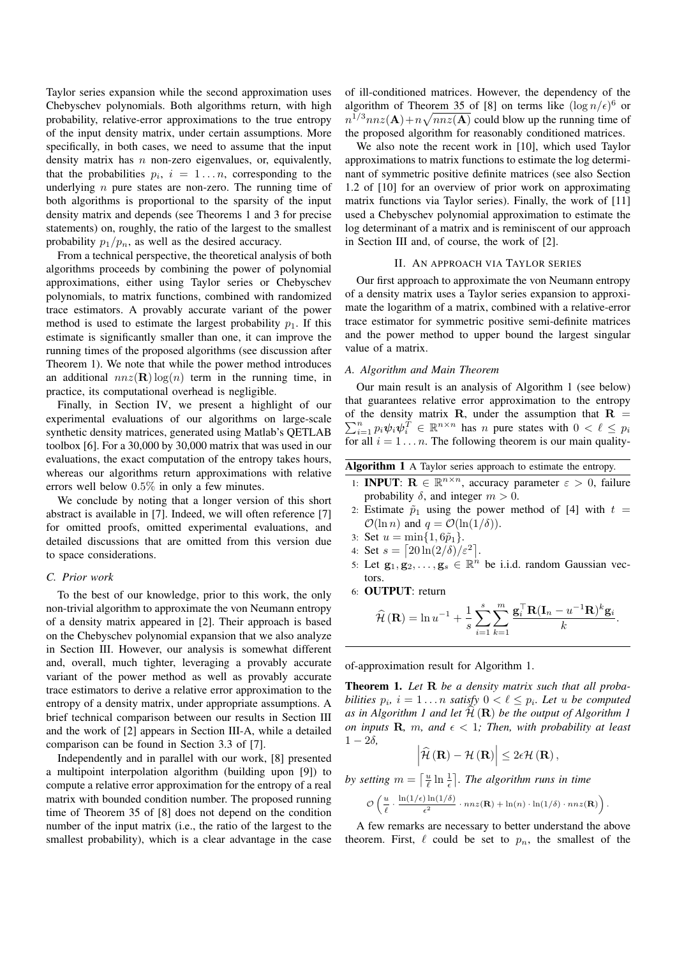Taylor series expansion while the second approximation uses Chebyschev polynomials. Both algorithms return, with high probability, relative-error approximations to the true entropy of the input density matrix, under certain assumptions. More specifically, in both cases, we need to assume that the input density matrix has  $n$  non-zero eigenvalues, or, equivalently, that the probabilities  $p_i$ ,  $i = 1...n$ , corresponding to the underlying  $n$  pure states are non-zero. The running time of both algorithms is proportional to the sparsity of the input density matrix and depends (see Theorems 1 and 3 for precise statements) on, roughly, the ratio of the largest to the smallest probability  $p_1/p_n$ , as well as the desired accuracy.

From a technical perspective, the theoretical analysis of both algorithms proceeds by combining the power of polynomial approximations, either using Taylor series or Chebyschev polynomials, to matrix functions, combined with randomized trace estimators. A provably accurate variant of the power method is used to estimate the largest probability  $p_1$ . If this estimate is significantly smaller than one, it can improve the running times of the proposed algorithms (see discussion after Theorem 1). We note that while the power method introduces an additional  $nnz(\mathbf{R})\log(n)$  term in the running time, in practice, its computational overhead is negligible.

Finally, in Section IV, we present a highlight of our experimental evaluations of our algorithms on large-scale synthetic density matrices, generated using Matlab's QETLAB toolbox [6]. For a 30,000 by 30,000 matrix that was used in our evaluations, the exact computation of the entropy takes hours, whereas our algorithms return approximations with relative errors well below 0.5% in only a few minutes.

We conclude by noting that a longer version of this short abstract is available in [7]. Indeed, we will often reference [7] for omitted proofs, omitted experimental evaluations, and detailed discussions that are omitted from this version due to space considerations.

## *C. Prior work*

To the best of our knowledge, prior to this work, the only non-trivial algorithm to approximate the von Neumann entropy of a density matrix appeared in [2]. Their approach is based on the Chebyschev polynomial expansion that we also analyze in Section III. However, our analysis is somewhat different and, overall, much tighter, leveraging a provably accurate variant of the power method as well as provably accurate trace estimators to derive a relative error approximation to the entropy of a density matrix, under appropriate assumptions. A brief technical comparison between our results in Section III and the work of [2] appears in Section III-A, while a detailed comparison can be found in Section 3.3 of [7].

Independently and in parallel with our work, [8] presented a multipoint interpolation algorithm (building upon [9]) to compute a relative error approximation for the entropy of a real matrix with bounded condition number. The proposed running time of Theorem 35 of [8] does not depend on the condition number of the input matrix (i.e., the ratio of the largest to the smallest probability), which is a clear advantage in the case

of ill-conditioned matrices. However, the dependency of the algorithm of Theorem 35 of [8] on terms like  $(\log n/\epsilon)^6$  or  $n^{1/3}$ nnz $(A)$ +n $\sqrt{nnz(A)}$  could blow up the running time of the proposed algorithm for reasonably conditioned matrices.

We also note the recent work in [10], which used Taylor approximations to matrix functions to estimate the log determinant of symmetric positive definite matrices (see also Section 1.2 of [10] for an overview of prior work on approximating matrix functions via Taylor series). Finally, the work of [11] used a Chebyschev polynomial approximation to estimate the log determinant of a matrix and is reminiscent of our approach in Section III and, of course, the work of [2].

### II. AN APPROACH VIA TAYLOR SERIES

Our first approach to approximate the von Neumann entropy of a density matrix uses a Taylor series expansion to approximate the logarithm of a matrix, combined with a relative-error trace estimator for symmetric positive semi-definite matrices and the power method to upper bound the largest singular value of a matrix.

# *A. Algorithm and Main Theorem*

Our main result is an analysis of Algorithm 1 (see below) that guarantees relative error approximation to the entropy of the density matrix **R**, under the assumption that **R** =  $\sum_{i=1}^n p_i \psi_i \psi_i^T \in \mathbb{R}^{n \times n}$  has n pure states with  $0 < \ell \leq p_i$ for all  $i = 1...n$ . The following theorem is our main quality-

| Algorithm 1 A Taylor series approach to estimate the entropy. |  |  |  |  |  |  |  |
|---------------------------------------------------------------|--|--|--|--|--|--|--|
|---------------------------------------------------------------|--|--|--|--|--|--|--|

- 1: **INPUT:**  $\mathbf{R} \in \mathbb{R}^{n \times n}$ , accuracy parameter  $\varepsilon > 0$ , failure probability  $\delta$ , and integer  $m > 0$ .
- 2: Estimate  $\tilde{p}_1$  using the power method of [4] with  $t =$  $\mathcal{O}(\ln n)$  and  $q = \mathcal{O}(\ln(1/\delta)).$
- 3: Set  $u = \min\{1, 6\tilde{p}_1\}.$
- 4: Set  $s = \left[20\ln(2/\delta)/\varepsilon^2\right]$ .
- 5: Let  $\mathbf{g}_1, \mathbf{g}_2, \ldots, \mathbf{g}_s \in \mathbb{R}^n$  be i.i.d. random Gaussian vectors.
- 6: OUTPUT: return

$$
\widehat{\mathcal{H}}\left(\mathbf{R}\right) = \ln u^{-1} + \frac{1}{s} \sum_{i=1}^{s} \sum_{k=1}^{m} \frac{\mathbf{g}_i^{\top} \mathbf{R} (\mathbf{I}_n - u^{-1} \mathbf{R})^k \mathbf{g}_i}{k}.
$$

of-approximation result for Algorithm 1.

Theorem 1. *Let* R *be a density matrix such that all probabilities*  $p_i$ ,  $i = 1...n$  *satisfy*  $0 < \ell \leq p_i$ *. Let u be computed* as in Algorithm 1 and let  $\mathcal{H}(\mathbf{R})$  be the output of Algorithm 1 *on inputs* **R**, *m*, and  $\epsilon$  < 1; Then, with probability at least  $1 - 2\delta$ ,

$$
\left|\widehat{\mathcal{H}}\left(\mathbf{R}\right)-\mathcal{H}\left(\mathbf{R}\right)\right|\leq2\epsilon\mathcal{H}\left(\mathbf{R}\right),\,
$$

*by setting*  $m = \left\lceil \frac{u}{\ell} \ln \frac{1}{\epsilon} \right\rceil$ . The algorithm runs in time

$$
\mathcal{O}\left(\frac{u}{\ell} \cdot \frac{\ln(1/\epsilon)\ln(1/\delta)}{\epsilon^2} \cdot nnz(\mathbf{R}) + \ln(n) \cdot \ln(1/\delta) \cdot nnz(\mathbf{R})\right).
$$

A few remarks are necessary to better understand the above theorem. First,  $\ell$  could be set to  $p_n$ , the smallest of the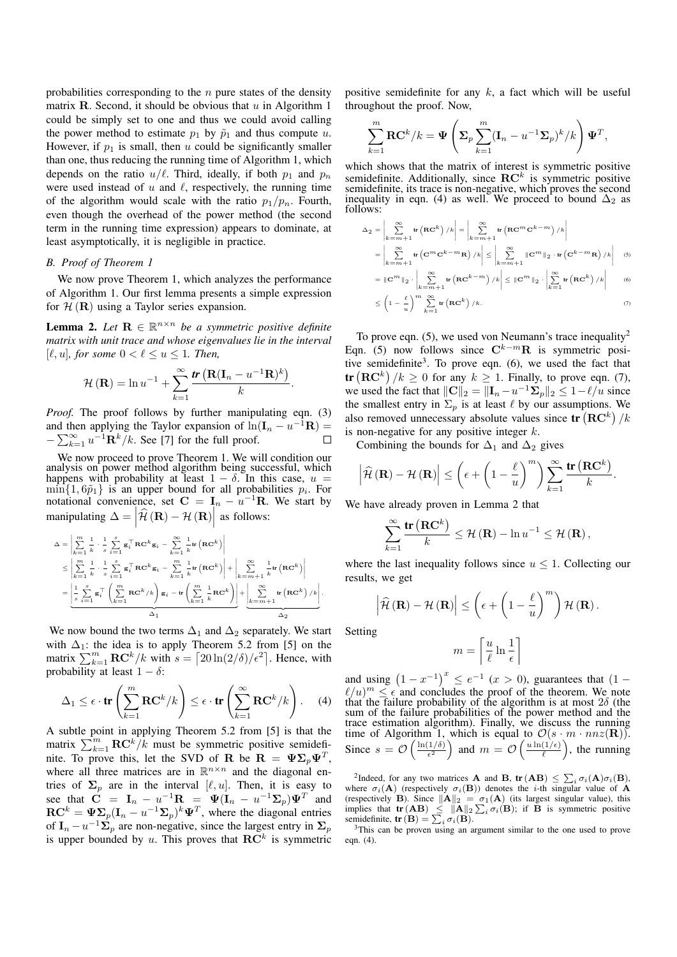probabilities corresponding to the  $n$  pure states of the density matrix  $R$ . Second, it should be obvious that  $u$  in Algorithm 1 could be simply set to one and thus we could avoid calling the power method to estimate  $p_1$  by  $\tilde{p}_1$  and thus compute u. However, if  $p_1$  is small, then u could be significantly smaller than one, thus reducing the running time of Algorithm 1, which depends on the ratio  $u/\ell$ . Third, ideally, if both  $p_1$  and  $p_n$ were used instead of  $u$  and  $\ell$ , respectively, the running time of the algorithm would scale with the ratio  $p_1/p_n$ . Fourth, even though the overhead of the power method (the second term in the running time expression) appears to dominate, at least asymptotically, it is negligible in practice.

# *B. Proof of Theorem 1*

We now prove Theorem 1, which analyzes the performance of Algorithm 1. Our first lemma presents a simple expression for  $H(\mathbf{R})$  using a Taylor series expansion.

**Lemma 2.** Let  $\mathbf{R} \in \mathbb{R}^{n \times n}$  be a symmetric positive definite *matrix with unit trace and whose eigenvalues lie in the interval*  $[\ell, u]$ *, for some*  $0 < \ell \leq u \leq 1$ *. Then,* 

$$
\mathcal{H}(\mathbf{R}) = \ln u^{-1} + \sum_{k=1}^{\infty} \frac{\mathbf{tr}(\mathbf{R}(\mathbf{I}_n - u^{-1}\mathbf{R})^k)}{k}.
$$

*Proof.* The proof follows by further manipulating eqn. (3) and then applying the Taylor expansion of  $ln(I_n - u^{-1}R) =$  $-\sum_{k=1}^{\infty} u^{-1} \dot{\mathbf{R}}^k / k$ . See [7] for the full proof.  $\Box$ 

We now proceed to prove Theorem 1. We will condition our analysis on power method algorithm being successful, which happens with probability at least  $1 - \delta$ . In this case,  $u =$  $\min\{1, 6\tilde{p}_1\}$  is an upper bound for all probabilities  $p_i$ . For notational convenience, set  $C = I_n - u^{-1}R$ . We start by manipulating  $\Delta = |\hat{\mathcal{H}}(\mathbf{R}) - \mathcal{H}(\mathbf{R})|$  as follows:

$$
\Delta = \left| \sum_{k=1}^{m} \frac{1}{k} \cdot \frac{1}{s} \sum_{i=1}^{s} \mathbf{g}_i^{\top} \mathbf{R} \mathbf{C}^k \mathbf{g}_i - \sum_{k=1}^{\infty} \frac{1}{k} \mathbf{tr} \left( \mathbf{R} \mathbf{C}^k \right) \right|
$$
  
\n
$$
\leq \left| \sum_{k=1}^{m} \frac{1}{k} \cdot \frac{1}{s} \sum_{i=1}^{s} \mathbf{g}_i^{\top} \mathbf{R} \mathbf{C}^k \mathbf{g}_i - \sum_{k=1}^{m} \frac{1}{k} \mathbf{tr} \left( \mathbf{R} \mathbf{C}^k \right) \right| + \left| \sum_{k=m+1}^{\infty} \frac{1}{k} \mathbf{tr} \left( \mathbf{R} \mathbf{C}^k \right) \right|
$$
  
\n
$$
= \left| \frac{1}{s} \sum_{i=1}^{s} \mathbf{g}_i^{\top} \left( \sum_{k=1}^{m} \mathbf{R} \mathbf{C}^k / k \right) \mathbf{g}_i - \mathbf{tr} \left( \sum_{k=1}^{m} \frac{1}{k} \mathbf{R} \mathbf{C}^k \right) \right| + \left| \sum_{k=m+1}^{\infty} \frac{1}{k} \mathbf{tr} \left( \mathbf{R} \mathbf{C}^k \right) / k \right|.
$$

We now bound the two terms  $\Delta_1$  and  $\Delta_2$  separately. We start with  $\Delta_1$ : the idea is to apply Theorem 5.2 from [5] on the matrix  $\sum_{k=1}^{m} \mathbf{RC}^{k}/k$  with  $s = \left[20 \ln(2/\delta)/\epsilon^2\right]$ . Hence, with probability at least  $1 - \delta$ :

$$
\Delta_1 \leq \epsilon \cdot \mathbf{tr}\left(\sum_{k=1}^m \mathbf{RC}^k / k\right) \leq \epsilon \cdot \mathbf{tr}\left(\sum_{k=1}^\infty \mathbf{RC}^k / k\right). \tag{4}
$$

A subtle point in applying Theorem 5.2 from [5] is that the matrix  $\sum_{k=1}^{m}$  RC<sup>k</sup>/k must be symmetric positive semidefinite. To prove this, let the SVD of **R** be  $\mathbf{R} = \Psi \Sigma_p \Psi^T$ , where all three matrices are in  $\mathbb{R}^{n \times n}$  and the diagonal entries of  $\Sigma_p$  are in the interval [ $\ell, u$ ]. Then, it is easy to see that  $\dot{\mathbf{C}} = \mathbf{I}_n - u^{-1}\mathbf{R} = \Psi(\mathbf{I}_n - u^{-1}\mathbf{\Sigma}_p)\Psi^T$  and  $\mathbf{RC}^k = \Psi \Sigma_p (\mathbf{I}_n - u^{-1} \Sigma_p)^k \Psi^T$ , where the diagonal entries of  $I_n - u^{-1} \Sigma_p$  are non-negative, since the largest entry in  $\Sigma_p$ is upper bounded by u. This proves that  $\mathbf{RC}^{k}$  is symmetric positive semidefinite for any  $k$ , a fact which will be useful throughout the proof. Now,

$$
\sum_{k=1}^{m} \mathbf{RC}^{k}/k = \mathbf{\Psi}\left(\mathbf{\Sigma}_{p} \sum_{k=1}^{m} (\mathbf{I}_{n} - u^{-1} \mathbf{\Sigma}_{p})^{k}/k\right) \mathbf{\Psi}^{T},
$$

which shows that the matrix of interest is symmetric positive semidefinite. Additionally, since  $\mathbf{RC}^k$  is symmetric positive semidefinite, its trace is non-negative, which proves the second inequality in eqn. (4) as well. We proceed to bound  $\Delta_2$  as follows:

$$
\Delta_{2} = \left| \sum_{k=m+1}^{\infty} \text{tr} \left( \mathbf{RC}^{k} \right) / k \right| = \left| \sum_{k=m+1}^{\infty} \text{tr} \left( \mathbf{RC}^{m} \mathbf{C}^{k-m} \right) / k \right|
$$
\n
$$
= \left| \sum_{k=m+1}^{\infty} \text{tr} \left( \mathbf{C}^{m} \mathbf{C}^{k-m} \mathbf{R} \right) / k \right| \leq \left| \sum_{k=m+1}^{\infty} \|\mathbf{C}^{m}\|_{2} \cdot \text{tr} \left( \mathbf{C}^{k-m} \mathbf{R} \right) / k \right| \quad (5)
$$
\n
$$
= \|\mathbf{C}^{m}\|_{2} \cdot \left| \sum_{k=m+1}^{\infty} \text{tr} \left( \mathbf{RC}^{k-m} \right) / k \right| \leq \|\mathbf{C}^{m}\|_{2} \cdot \left| \sum_{k=1}^{\infty} \text{tr} \left( \mathbf{RC}^{k} \right) / k \right| \quad (6)
$$
\n
$$
\leq \left( 1 - \frac{\ell}{u} \right)^{m} \sum_{k=1}^{\infty} \text{tr} \left( \mathbf{RC}^{k} \right) / k.
$$

To prove eqn.  $(5)$ , we used von Neumann's trace inequality<sup>2</sup> Eqn. (5) now follows since  $\mathbf{C}^{k-m}$ **R** is symmetric positive semidefinite<sup>3</sup>. To prove eqn.  $(6)$ , we used the fact that  $\text{tr}(\mathbf{RC}^k)/k \geq 0$  for any  $k \geq 1$ . Finally, to prove eqn. (7), we used the fact that  $\|\mathbf{C}\|_2 = \|\mathbf{I}_n - u^{-1}\mathbf{\Sigma}_p\|_2 \leq 1 - \ell/u$  since the smallest entry in  $\Sigma_n$  is at least  $\ell$  by our assumptions. We also removed unnecessary absolute values since  $tr(RC^k)/k$ is non-negative for any positive integer  $k$ .

Combining the bounds for  $\Delta_1$  and  $\Delta_2$  gives

$$
\left|\widehat{\mathcal{H}}\left(\mathbf{R}\right)-\mathcal{H}\left(\mathbf{R}\right)\right| \leq \left(\epsilon + \left(1-\frac{\ell}{u}\right)^m\right)\sum_{k=1}^{\infty}\frac{\mathrm{tr}\left(\mathbf{R}\mathbf{C}^k\right)}{k}.
$$

We have already proven in Lemma 2 that

$$
\sum_{k=1}^{\infty} \frac{\mathrm{tr}\left(\mathbf{R} \mathbf{C}^{k}\right)}{k} \leq \mathcal{H}\left(\mathbf{R}\right) - \ln u^{-1} \leq \mathcal{H}\left(\mathbf{R}\right),
$$

where the last inequality follows since  $u \leq 1$ . Collecting our results, we get

$$
\left|\widehat{\mathcal{H}}\left(\mathbf{R}\right)-\mathcal{H}\left(\mathbf{R}\right)\right| \leq\left(\epsilon+\left(1-\frac{\ell}{u}\right)^{m}\right)\mathcal{H}\left(\mathbf{R}\right).
$$

Setting

$$
m = \left\lceil \frac{u}{\ell} \ln \frac{1}{\epsilon} \right\rceil
$$

and using  $(1-x^{-1})^x \le e^{-1}$   $(x > 0)$ , guarantees that  $(1 \ell/u)^m \leq \epsilon$  and concludes the proof of the theorem. We note that the failure probability of the algorithm is at most  $2\delta$  (the sum of the failure probabilities of the power method and the trace estimation algorithm). Finally, we discuss the running time of Algorithm 1, which is equal to  $\mathcal{O}(s \cdot m \cdot nnz(\mathbf{R}))$ . Since  $s = \mathcal{O}\left(\frac{\ln(1/\delta)}{\epsilon^2}\right)$  $\left(\frac{1/\delta}{\epsilon^2}\right)$  and  $m = \mathcal{O}\left(\frac{u \ln(1/\epsilon)}{\ell}\right)$  $\left(\frac{1}{\ell}\right)$ , the running

<sup>2</sup>Indeed, for any two matrices **A** and **B**,  $tr(AB) \le \sum_i \sigma_i(A)\sigma_i(B)$ , where  $\sigma_i(\mathbf{A})$  (respectively  $\sigma_i(\mathbf{B})$ ) denotes the *i*-th singular value of **A** (respectively **B**). Since  $\|\mathbf{A}\|_2 = \sigma_1(\mathbf{A})$  (its largest singular value), this implies that  $\text{tr}(\mathbf{AB}) \leq ||\mathbf{A}||_2 \sum_i \sigma_i(\mathbf{B})$ ; if **B** is symmetric positive semidefinite,  $\mathbf{tr}(\mathbf{B}) = \sum_i \sigma_i(\mathbf{B}).$ 

<sup>3</sup>This can be proven using an argument similar to the one used to prove eqn. (4).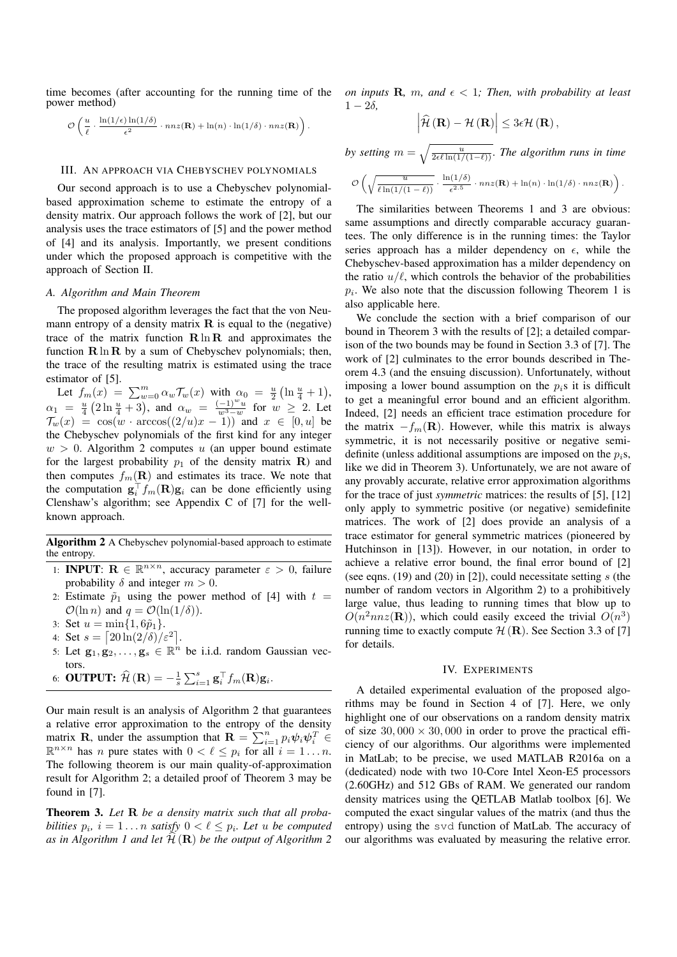time becomes (after accounting for the running time of the power method)

$$
\mathcal{O}\left(\frac{u}{\ell}\cdot\frac{\ln(1/\epsilon)\ln(1/\delta)}{\epsilon^2}\cdot nnz(\mathbf{R})+\ln(n)\cdot\ln(1/\delta)\cdot nnz(\mathbf{R})\right).
$$

# III. AN APPROACH VIA CHEBYSCHEV POLYNOMIALS

Our second approach is to use a Chebyschev polynomialbased approximation scheme to estimate the entropy of a density matrix. Our approach follows the work of [2], but our analysis uses the trace estimators of [5] and the power method of [4] and its analysis. Importantly, we present conditions under which the proposed approach is competitive with the approach of Section II.

## *A. Algorithm and Main Theorem*

The proposed algorithm leverages the fact that the von Neumann entropy of a density matrix  $\bf{R}$  is equal to the (negative) trace of the matrix function  $\mathbf{R} \ln \mathbf{R}$  and approximates the function  $\mathbf{R} \ln \mathbf{R}$  by a sum of Chebyschev polynomials; then, the trace of the resulting matrix is estimated using the trace estimator of [5].

Let  $f_m(x) = \sum_{w=0}^m \alpha_w \mathcal{T}_w(x)$  with  $\alpha_0 = \frac{u}{2} \left( \ln \frac{u}{4} + 1 \right)$ ,  $\alpha_1 = \frac{u}{4} \left( 2 \ln \frac{u}{4} + 3 \right)$ , and  $\alpha_w = \frac{(-1)^w u}{w^3 - w}$  $\frac{(-1)^{-u}}{w^3-w}$  for  $w \geq 2$ . Let  $\mathcal{T}_w(x) = \cos(w \cdot \arccos((2/u)x - 1))$  and  $x \in [0, u]$  be the Chebyschev polynomials of the first kind for any integer  $w > 0$ . Algorithm 2 computes u (an upper bound estimate for the largest probability  $p_1$  of the density matrix **R**) and then computes  $f_m(\mathbf{R})$  and estimates its trace. We note that the computation  $\mathbf{g}_i^{\top} f_m(\mathbf{R}) \mathbf{g}_i$  can be done efficiently using Clenshaw's algorithm; see Appendix C of [7] for the wellknown approach.

Algorithm 2 A Chebyschev polynomial-based approach to estimate the entropy.

- 1: **INPUT:**  $\mathbf{R} \in \mathbb{R}^{n \times n}$ , accuracy parameter  $\varepsilon > 0$ , failure probability  $\delta$  and integer  $m > 0$ .
- 2: Estimate  $\tilde{p}_1$  using the power method of [4] with  $t =$  $\mathcal{O}(\ln n)$  and  $q = \mathcal{O}(\ln(1/\delta)).$
- 3: Set  $u = \min\{1, 6\tilde{p}_1\}.$
- 4: Set  $s = \left[20\ln(2/\delta)/\varepsilon^2\right]$ .
- 5: Let  $\mathbf{g}_1, \mathbf{g}_2, \ldots, \mathbf{g}_s \in \mathbb{R}^n$  be i.i.d. random Gaussian vectors.

.

6: **OUTPUT:** 
$$
\widehat{\mathcal{H}}(\mathbf{R}) = -\frac{1}{s} \sum_{i=1}^{s} \mathbf{g}_i^{\top} f_m(\mathbf{R}) \mathbf{g}_i
$$

Our main result is an analysis of Algorithm 2 that guarantees a relative error approximation to the entropy of the density matrix **R**, under the assumption that  $\mathbf{R} = \sum_{i=1}^{n} p_i \psi_i \psi_i^T$  $\mathbb{R}^{n \times n}$  has *n* pure states with  $0 < \ell \leq p_i$  for all  $i = 1 \ldots n$ . The following theorem is our main quality-of-approximation result for Algorithm 2; a detailed proof of Theorem 3 may be found in [7].

Theorem 3. *Let* R *be a density matrix such that all probabilities*  $p_i$ ,  $i = 1...n$  *satisfy*  $0 < \ell \leq p_i$ . Let u *be computed* as in Algorithm 1 and let  $\widehat{\mathcal{H}}(\mathbf{R})$  be the output of Algorithm 2 *on inputs* **R**, *m*, and  $\epsilon$  < 1*;* Then, with probability at least  $1 - 2\delta$ 

$$
\left|\widehat{\mathcal{H}}\left(\mathbf{R}\right)-\mathcal{H}\left(\mathbf{R}\right)\right|\leq3\epsilon\mathcal{H}\left(\mathbf{R}\right),\,
$$

*by setting*  $m = \sqrt{\frac{u}{2\epsilon\ell \ln(1/(1-\ell))}}$ *. The algorithm runs in time*  $\mathcal{O}\left(\sqrt{\frac{u}{\sin(u+v)}}\right)$  $\frac{u}{\ell \ln(1/(1 - \ell))} \cdot \frac{\ln(1/\delta)}{\epsilon^{2.5}}$  $\frac{\ln(1/\delta)}{\epsilon^{2.5}} \cdot nnz(\mathbf{R}) + \ln(n) \cdot \ln(1/\delta) \cdot nnz(\mathbf{R})\bigg).$ 

The similarities between Theorems 1 and 3 are obvious: same assumptions and directly comparable accuracy guarantees. The only difference is in the running times: the Taylor series approach has a milder dependency on  $\epsilon$ , while the Chebyschev-based approximation has a milder dependency on the ratio  $u/\ell$ , which controls the behavior of the probabilities  $p_i$ . We also note that the discussion following Theorem 1 is also applicable here.

We conclude the section with a brief comparison of our bound in Theorem 3 with the results of [2]; a detailed comparison of the two bounds may be found in Section 3.3 of [7]. The work of [2] culminates to the error bounds described in Theorem 4.3 (and the ensuing discussion). Unfortunately, without imposing a lower bound assumption on the  $p_i$ s it is difficult to get a meaningful error bound and an efficient algorithm. Indeed, [2] needs an efficient trace estimation procedure for the matrix  $-f_m(R)$ . However, while this matrix is always symmetric, it is not necessarily positive or negative semidefinite (unless additional assumptions are imposed on the  $p_i$ s, like we did in Theorem 3). Unfortunately, we are not aware of any provably accurate, relative error approximation algorithms for the trace of just *symmetric* matrices: the results of [5], [12] only apply to symmetric positive (or negative) semidefinite matrices. The work of [2] does provide an analysis of a trace estimator for general symmetric matrices (pioneered by Hutchinson in [13]). However, in our notation, in order to achieve a relative error bound, the final error bound of [2] (see eqns.  $(19)$  and  $(20)$  in  $[2]$ ), could necessitate setting s (the number of random vectors in Algorithm 2) to a prohibitively large value, thus leading to running times that blow up to  $O(n^2 n n z(\mathbf{R}))$ , which could easily exceed the trivial  $O(n^3)$ running time to exactly compute  $H(\mathbf{R})$ . See Section 3.3 of [7] for details.

#### IV. EXPERIMENTS

A detailed experimental evaluation of the proposed algorithms may be found in Section 4 of [7]. Here, we only highlight one of our observations on a random density matrix of size  $30,000 \times 30,000$  in order to prove the practical efficiency of our algorithms. Our algorithms were implemented in MatLab; to be precise, we used MATLAB R2016a on a (dedicated) node with two 10-Core Intel Xeon-E5 processors (2.60GHz) and 512 GBs of RAM. We generated our random density matrices using the QETLAB Matlab toolbox [6]. We computed the exact singular values of the matrix (and thus the entropy) using the svd function of MatLab. The accuracy of our algorithms was evaluated by measuring the relative error.